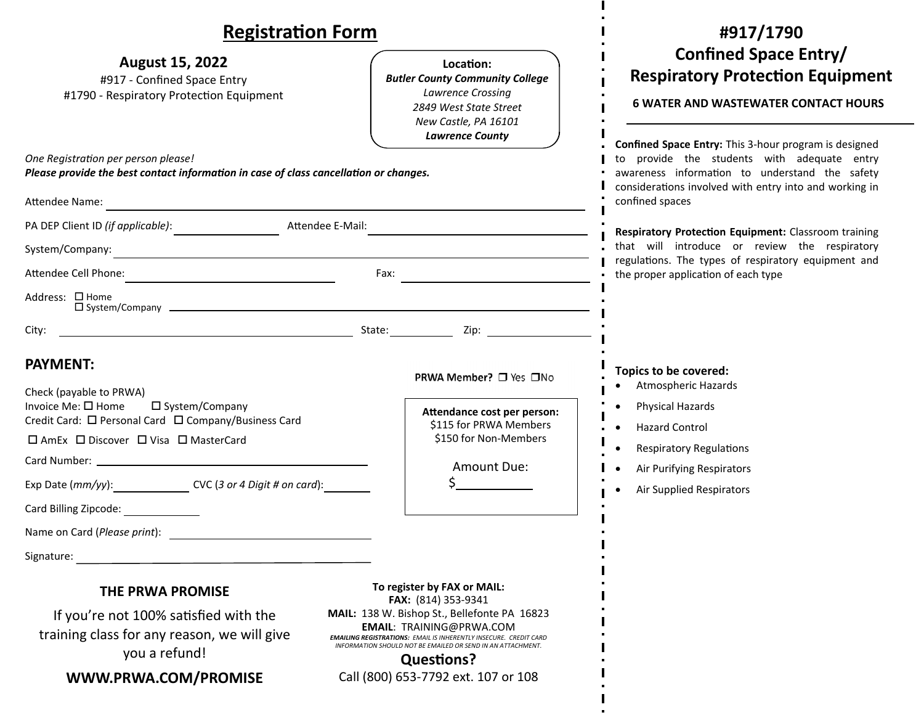## **RegistraƟon Form**

| <b>Registration Form</b>                                                                                                                                                    |                                                                                                                                                                                                                                                 | #917/1790                                                                                                                                                                                           |
|-----------------------------------------------------------------------------------------------------------------------------------------------------------------------------|-------------------------------------------------------------------------------------------------------------------------------------------------------------------------------------------------------------------------------------------------|-----------------------------------------------------------------------------------------------------------------------------------------------------------------------------------------------------|
| <b>August 15, 2022</b><br>#917 - Confined Space Entry<br>#1790 - Respiratory Protection Equipment                                                                           | Location:<br><b>Butler County Community College</b><br>Lawrence Crossing<br>2849 West State Street<br>New Castle, PA 16101<br><b>Lawrence County</b>                                                                                            | <b>Confined Space Entry/</b><br><b>Respiratory Protection Equipment</b><br><b>6 WATER AND WASTEWATER CONTACT HOURS</b><br>Confined Space Entry: This 3-hour program is designed                     |
| One Registration per person please!<br>Please provide the best contact information in case of class cancellation or changes.                                                |                                                                                                                                                                                                                                                 | to provide the students with adequate entry<br>awareness information to understand the safety<br>considerations involved with entry into and working in                                             |
| Attendee Name:                                                                                                                                                              | and the control of the control of the control of the control of the control of the control of the control of the                                                                                                                                | confined spaces                                                                                                                                                                                     |
| PA DEP Client ID (if applicable): Attendee E-Mail:<br><u> 1989 - Johann Barn, mars ann an t-Amhair ann an t-Amhair an t-Amhair ann an t-Amhair an t-Amhair ann an t-Amh</u> |                                                                                                                                                                                                                                                 | Respiratory Protection Equipment: Classroom training<br>that will introduce or review the respiratory<br>regulations. The types of respiratory equipment and<br>the proper application of each type |
| System/Company:<br><u> 1989 - Johann Stoff, deutscher Stoff, der Stoff, der Stoff, der Stoff, der Stoff, der Stoff, der Stoff, der S</u>                                    |                                                                                                                                                                                                                                                 |                                                                                                                                                                                                     |
|                                                                                                                                                                             |                                                                                                                                                                                                                                                 |                                                                                                                                                                                                     |
| Address: □ Home                                                                                                                                                             |                                                                                                                                                                                                                                                 |                                                                                                                                                                                                     |
| City:                                                                                                                                                                       | example and the contract of the contract of the State: contract of the Contract of the Contract of the Contract of the Contract of the Contract of the Contract of the Contract of the Contract of the Contract of the Contrac                  |                                                                                                                                                                                                     |
| <b>PAYMENT:</b><br>Check (payable to PRWA)                                                                                                                                  | PRWA Member? □ Yes □No                                                                                                                                                                                                                          | Topics to be covered:<br><b>Atmospheric Hazards</b>                                                                                                                                                 |
| Invoice Me: □ Home<br>□ System/Company<br>Credit Card: □ Personal Card □ Company/Business Card                                                                              | Attendance cost per person:<br>\$115 for PRWA Members                                                                                                                                                                                           | Physical Hazards<br><b>Hazard Control</b>                                                                                                                                                           |
| □ AmEx □ Discover □ Visa □ MasterCard                                                                                                                                       | \$150 for Non-Members                                                                                                                                                                                                                           | <b>Respiratory Regulations</b>                                                                                                                                                                      |
|                                                                                                                                                                             | Amount Due:                                                                                                                                                                                                                                     | Air Purifying Respirators                                                                                                                                                                           |
| Exp Date (mm/yy): CVC (3 or 4 Digit # on card):                                                                                                                             |                                                                                                                                                                                                                                                 | Air Supplied Respirators                                                                                                                                                                            |
| Card Billing Zipcode:                                                                                                                                                       |                                                                                                                                                                                                                                                 |                                                                                                                                                                                                     |
|                                                                                                                                                                             |                                                                                                                                                                                                                                                 |                                                                                                                                                                                                     |
| Signature:                                                                                                                                                                  |                                                                                                                                                                                                                                                 |                                                                                                                                                                                                     |
| THE PRWA PROMISE                                                                                                                                                            | To register by FAX or MAIL:<br>FAX: (814) 353-9341                                                                                                                                                                                              |                                                                                                                                                                                                     |
| If you're not 100% satisfied with the<br>training class for any reason, we will give<br>you a refund!                                                                       | MAIL: 138 W. Bishop St., Bellefonte PA 16823<br><b>EMAIL: TRAINING@PRWA.COM</b><br><b>EMAILING REGISTRATIONS: EMAIL IS INHERENTLY INSECURE. CREDIT CARD</b><br>INFORMATION SHOULD NOT BE EMAILED OR SEND IN AN ATTACHMENT.<br><b>Questions?</b> |                                                                                                                                                                                                     |
| WWW.PRWA.COM/PROMISE                                                                                                                                                        | Call (800) 653-7792 ext. 107 or 108                                                                                                                                                                                                             |                                                                                                                                                                                                     |

 $\mathbf{I}$  $\bullet$ 

 $\mathbf{I}$  $\sim$